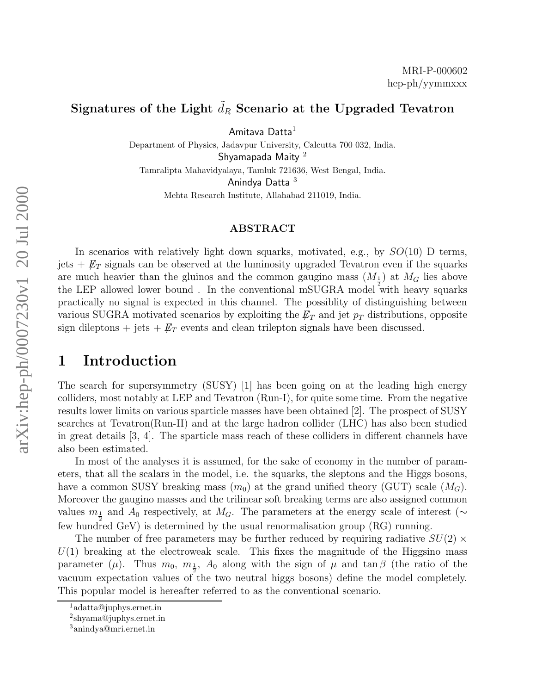# Signatures of the Light  $\tilde{d}_R$  Scenario at the Upgraded Tevatron

Amitava Datta 1

Department of Physics, Jadavpur University, Calcutta 700 032, India. Shyamapada Maity<sup>2</sup> Tamralipta Mahavidyalaya, Tamluk 721636, West Bengal, India. Anindya Datta 3 Mehta Research Institute, Allahabad 211019, India.

#### ABSTRACT

In scenarios with relatively light down squarks, motivated, e.g., by  $SO(10)$  D terms, jets  $+$   $\not\!\!E_T$  signals can be observed at the luminosity upgraded Tevatron even if the squarks are much heavier than the gluinos and the common gaugino mass  $(M_{\frac{1}{2}})$  at  $M_G$  lies above the LEP allowed lower bound. In the conventional mSUGRA model with heavy squarks practically no signal is expected in this channel. The possiblity of distinguishing between various SUGRA motivated scenarios by exploiting the  $\not\!\!E_T$  and jet  $p_T$  distributions, opposite sign dileptons  $+$  jets  $+$   $\not\!\!E_T$  events and clean trilepton signals have been discussed.

## 1 Introduction

The search for supersymmetry (SUSY) [1] has been going on at the leading high energy colliders, most notably at LEP and Tevatron (Run-I), for quite some time. From the negative results lower limits on various sparticle masses have been obtained [2]. The prospect of SUSY searches at Tevatron(Run-II) and at the large hadron collider (LHC) has also been studied in great details [3, 4]. The sparticle mass reach of these colliders in different channels have also been estimated.

In most of the analyses it is assumed, for the sake of economy in the number of parameters, that all the scalars in the model, i.e. the squarks, the sleptons and the Higgs bosons, have a common SUSY breaking mass  $(m_0)$  at the grand unified theory (GUT) scale  $(M_G)$ . Moreover the gaugino masses and the trilinear soft breaking terms are also assigned common values  $m_{\frac{1}{2}}$  and  $A_0$  respectively, at  $M_G$ . The parameters at the energy scale of interest ( $\sim$ few hundred GeV) is determined by the usual renormalisation group (RG) running.

The number of free parameters may be further reduced by requiring radiative  $SU(2) \times$  $U(1)$  breaking at the electroweak scale. This fixes the magnitude of the Higgsino mass parameter ( $\mu$ ). Thus  $m_0$ ,  $m_{\frac{1}{2}}$ ,  $A_0$  along with the sign of  $\mu$  and  $\tan \beta$  (the ratio of the vacuum expectation values of the two neutral higgs bosons) define the model completely. This popular model is hereafter referred to as the conventional scenario.

 $1$ adatta@juphys.ernet.in

 $\mathrm{a}^2$ shyama@juphys.ernet.in

<sup>3</sup>anindya@mri.ernet.in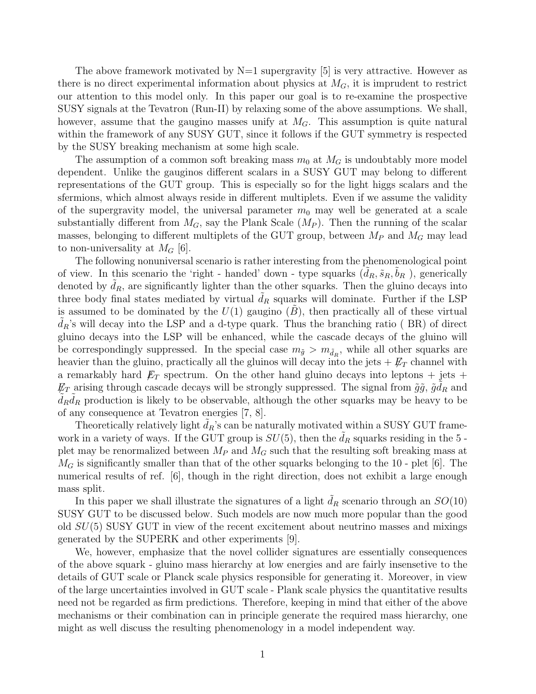The above framework motivated by  $N=1$  supergravity [5] is very attractive. However as there is no direct experimental information about physics at  $M_G$ , it is imprudent to restrict our attention to this model only. In this paper our goal is to re-examine the prospective SUSY signals at the Tevatron (Run-II) by relaxing some of the above assumptions. We shall, however, assume that the gaugino masses unify at  $M_G$ . This assumption is quite natural within the framework of any SUSY GUT, since it follows if the GUT symmetry is respected by the SUSY breaking mechanism at some high scale.

The assumption of a common soft breaking mass  $m_0$  at  $M_G$  is undoubtably more model dependent. Unlike the gauginos different scalars in a SUSY GUT may belong to different representations of the GUT group. This is especially so for the light higgs scalars and the sfermions, which almost always reside in different multiplets. Even if we assume the validity of the supergravity model, the universal parameter  $m_0$  may well be generated at a scale substantially different from  $M_G$ , say the Plank Scale  $(M_P)$ . Then the running of the scalar masses, belonging to different multiplets of the GUT group, between  $M_P$  and  $M_G$  may lead to non-universality at  $M_G$  [6].

The following nonuniversal scenario is rather interesting from the phenomenological point of view. In this scenario the 'right - handed' down - type squarks  $(\tilde{d}_R, \tilde{s}_R, \tilde{b}_R)$ , generically denoted by  $\tilde{d}_R$ , are significantly lighter than the other squarks. Then the gluino decays into three body final states mediated by virtual  $d_R$  squarks will dominate. Further if the LSP is assumed to be dominated by the  $U(1)$  gaugino  $(B)$ , then practically all of these virtual  $d_R$ 's will decay into the LSP and a d-type quark. Thus the branching ratio ( $BR$ ) of direct gluino decays into the LSP will be enhanced, while the cascade decays of the gluino will be correspondingly suppressed. In the special case  $m_{\tilde{g}} > m_{\tilde{d}_R}$ , while all other squarks are heavier than the gluino, practically all the gluinos will decay into the jets  $+ E_T$  channel with a remarkably hard  $E_T$  spectrum. On the other hand gluino decays into leptons + jets +  $E_T$  arising through cascade decays will be strongly suppressed. The signal from  $\tilde{g}\tilde{g}$ ,  $\tilde{g}d_R$  and  $\tilde{d}_R \tilde{d}_R$  production is likely to be observable, although the other squarks may be heavy to be of any consequence at Tevatron energies [7, 8].

Theoretically relatively light  $\tilde{d}_R$ 's can be naturally motivated within a SUSY GUT framework in a variety of ways. If the GUT group is  $SU(5)$ , then the  $d<sub>R</sub>$  squarks residing in the 5 plet may be renormalized between  $M_P$  and  $M_G$  such that the resulting soft breaking mass at  $M_G$  is significantly smaller than that of the other squarks belonging to the 10 - plet [6]. The numerical results of ref. [6], though in the right direction, does not exhibit a large enough mass split.

In this paper we shall illustrate the signatures of a light  $d<sub>R</sub>$  scenario through an  $SO(10)$ SUSY GUT to be discussed below. Such models are now much more popular than the good old  $SU(5)$  SUSY GUT in view of the recent excitement about neutrino masses and mixings generated by the SUPERK and other experiments [9].

We, however, emphasize that the novel collider signatures are essentially consequences of the above squark - gluino mass hierarchy at low energies and are fairly insensetive to the details of GUT scale or Planck scale physics responsible for generating it. Moreover, in view of the large uncertainties involved in GUT scale - Plank scale physics the quantitative results need not be regarded as firm predictions. Therefore, keeping in mind that either of the above mechanisms or their combination can in principle generate the required mass hierarchy, one might as well discuss the resulting phenomenology in a model independent way.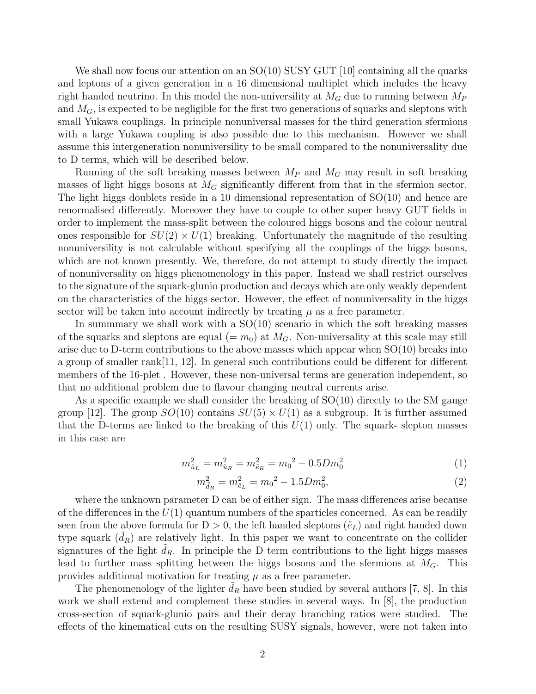We shall now focus our attention on an  $SO(10)$  SUSY GUT [10] containing all the quarks and leptons of a given generation in a 16 dimensional multiplet which includes the heavy right handed neutrino. In this model the non-universility at  $M_G$  due to running between  $M_P$ and  $M_G$ , is expected to be negligible for the first two generations of squarks and sleptons with small Yukawa couplings. In principle nonuniversal masses for the third generation sfermions with a large Yukawa coupling is also possible due to this mechanism. However we shall assume this intergeneration nonuniversility to be small compared to the nonuniversality due to D terms, which will be described below.

Running of the soft breaking masses between  $M_P$  and  $M_G$  may result in soft breaking masses of light higgs bosons at  $M<sub>G</sub>$  significantly different from that in the sfermion sector. The light higgs doublets reside in a 10 dimensional representation of SO(10) and hence are renormalised differently. Moreover they have to couple to other super heavy GUT fields in order to implement the mass-split between the coloured higgs bosons and the colour neutral ones responsible for  $SU(2) \times U(1)$  breaking. Unfortunately the magnitude of the resulting nonuniversility is not calculable without specifying all the couplings of the higgs bosons, which are not known presently. We, therefore, do not attempt to study directly the impact of nonuniversality on higgs phenomenology in this paper. Instead we shall restrict ourselves to the signature of the squark-glunio production and decays which are only weakly dependent on the characteristics of the higgs sector. However, the effect of nonuniversality in the higgs sector will be taken into account indirectly by treating  $\mu$  as a free parameter.

In summmary we shall work with a  $SO(10)$  scenario in which the soft breaking masses of the squarks and sleptons are equal  $(= m_0)$  at  $M_G$ . Non-universality at this scale may still arise due to D-term contributions to the above masses which appear when  $SO(10)$  breaks into a group of smaller rank[11, 12]. In general such contributions could be different for different members of the 16-plet . However, these non-universal terms are generation independent, so that no additional problem due to flavour changing neutral currents arise.

As a specific example we shall consider the breaking of SO(10) directly to the SM gauge group [12]. The group  $SO(10)$  contains  $SU(5) \times U(1)$  as a subgroup. It is further assumed that the D-terms are linked to the breaking of this  $U(1)$  only. The squark- slepton masses in this case are

$$
m_{\tilde{u}_L}^2 = m_{\tilde{u}_R}^2 = m_{\tilde{e}_R}^2 = m_0^2 + 0.5Dm_0^2
$$
\n<sup>(1)</sup>

$$
m_{\tilde{d}_R}^2 = m_{\tilde{e}_L}^2 = m_0^2 - 1.5 D m_0^2,\tag{2}
$$

where the unknown parameter D can be of either sign. The mass differences arise because of the differences in the  $U(1)$  quantum numbers of the sparticles concerned. As can be readily seen from the above formula for  $D > 0$ , the left handed sleptons  $(\tilde{e}_L)$  and right handed down type squark  $(d_R)$  are relatively light. In this paper we want to concentrate on the collider signatures of the light  $d_R$ . In principle the D term contributions to the light higgs masses lead to further mass splitting between the higgs bosons and the sfermions at  $M_G$ . This provides additional motivation for treating  $\mu$  as a free parameter.

The phenomenology of the lighter  $d_R$  have been studied by several authors [7, 8]. In this work we shall extend and complement these studies in several ways. In [8], the production cross-section of squark-glunio pairs and their decay branching ratios were studied. The effects of the kinematical cuts on the resulting SUSY signals, however, were not taken into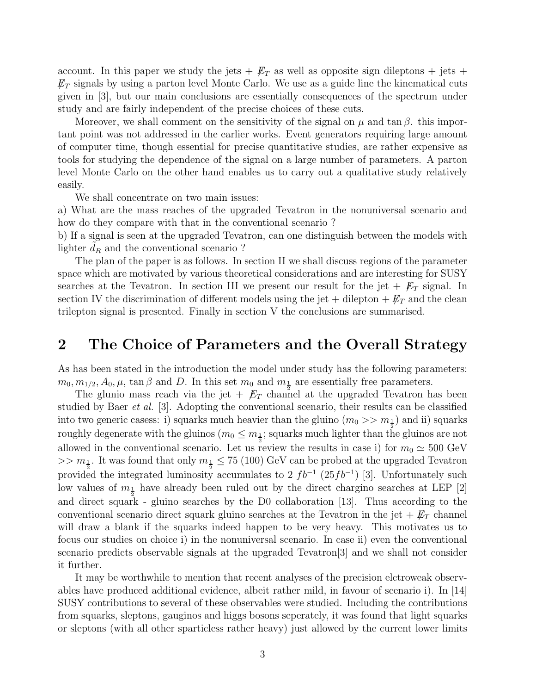account. In this paper we study the jets  $+$   $\not\!\!E_T$  as well as opposite sign dileptons  $+$  jets  $+$  $\not\!\!E_T$  signals by using a parton level Monte Carlo. We use as a guide line the kinematical cuts given in [3], but our main conclusions are essentially consequences of the spectrum under study and are fairly independent of the precise choices of these cuts.

Moreover, we shall comment on the sensitivity of the signal on  $\mu$  and tan  $\beta$ . this important point was not addressed in the earlier works. Event generators requiring large amount of computer time, though essential for precise quantitative studies, are rather expensive as tools for studying the dependence of the signal on a large number of parameters. A parton level Monte Carlo on the other hand enables us to carry out a qualitative study relatively easily.

We shall concentrate on two main issues:

a) What are the mass reaches of the upgraded Tevatron in the nonuniversal scenario and how do they compare with that in the conventional scenario ?

b) If a signal is seen at the upgraded Tevatron, can one distinguish between the models with lighter  $d_R$  and the conventional scenario ?

The plan of the paper is as follows. In section II we shall discuss regions of the parameter space which are motivated by various theoretical considerations and are interesting for SUSY searches at the Tevatron. In section III we present our result for the jet  $+ \not{E}_T$  signal. In section IV the discrimination of different models using the jet + dilepton  $+ E_T$  and the clean trilepton signal is presented. Finally in section V the conclusions are summarised.

# 2 The Choice of Parameters and the Overall Strategy

As has been stated in the introduction the model under study has the following parameters:  $m_0, m_{1/2}, A_0, \mu$ , tan  $\beta$  and D. In this set  $m_0$  and  $m_{\frac{1}{2}}$  are essentially free parameters.

The glunio mass reach via the jet +  $E_T$  channel at the upgraded Tevatron has been studied by Baer et al. [3]. Adopting the conventional scenario, their results can be classified into two generic casess: i) squarks much heavier than the gluino  $(m_0 >> m_{\frac{1}{2}})$  and ii) squarks roughly degenerate with the gluinos ( $m_0 \leq m_{\frac{1}{2}}$ ; squarks much lighter than the gluinos are not allowed in the conventional scenario. Let us review the results in case i) for  $m_0 \simeq 500 \text{ GeV}$  $>> m_{\frac{1}{2}}$ . It was found that only  $m_{\frac{1}{2}} \leq 75$  (100) GeV can be probed at the upgraded Tevatron provided the integrated luminosity accumulates to 2  $fb^{-1}$  (25 $fb^{-1}$ ) [3]. Unfortunately such low values of  $m_{\frac{1}{2}}$  have already been ruled out by the direct chargino searches at LEP [2] and direct squark - gluino searches by the D0 collaboration [13]. Thus according to the conventional scenario direct squark gluino searches at the Tevatron in the jet  $+ E_T$  channel will draw a blank if the squarks indeed happen to be very heavy. This motivates us to focus our studies on choice i) in the nonuniversal scenario. In case ii) even the conventional scenario predicts observable signals at the upgraded Tevatron[3] and we shall not consider it further.

It may be worthwhile to mention that recent analyses of the precision elctroweak observables have produced additional evidence, albeit rather mild, in favour of scenario i). In [14] SUSY contributions to several of these observables were studied. Including the contributions from squarks, sleptons, gauginos and higgs bosons seperately, it was found that light squarks or sleptons (with all other sparticless rather heavy) just allowed by the current lower limits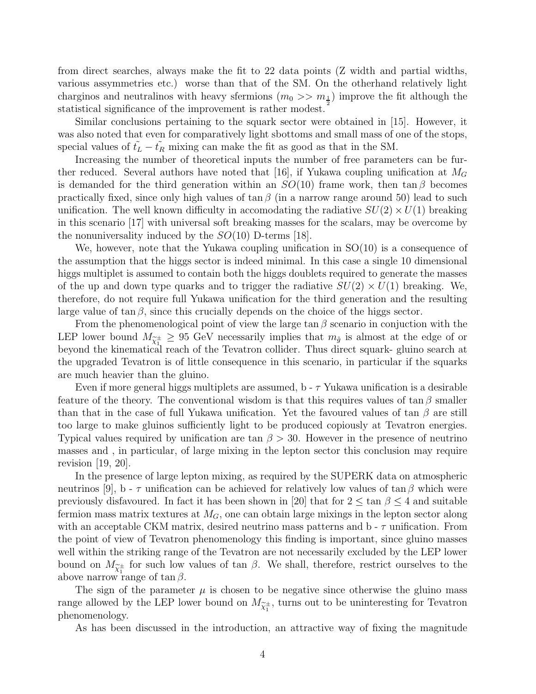from direct searches, always make the fit to 22 data points (Z width and partial widths, various assymmetries etc.) worse than that of the SM. On the otherhand relatively light charginos and neutralinos with heavy sfermions  $(m_0 \gg m_{\frac{1}{2}})$  improve the fit although the statistical significance of the improvement is rather modest.

Similar conclusions pertaining to the squark sector were obtained in [15]. However, it was also noted that even for comparatively light sbottoms and small mass of one of the stops, special values of  $\tilde{t}_L - \tilde{t}_R$  mixing can make the fit as good as that in the SM.

Increasing the number of theoretical inputs the number of free parameters can be further reduced. Several authors have noted that [16], if Yukawa coupling unification at  $M_G$ is demanded for the third generation within an  $SO(10)$  frame work, then  $\tan \beta$  becomes practically fixed, since only high values of  $\tan \beta$  (in a narrow range around 50) lead to such unification. The well known difficulty in accomodating the radiative  $SU(2) \times U(1)$  breaking in this scenario [17] with universal soft breaking masses for the scalars, may be overcome by the nonuniversality induced by the  $SO(10)$  D-terms [18].

We, however, note that the Yukawa coupling unification in  $SO(10)$  is a consequence of the assumption that the higgs sector is indeed minimal. In this case a single 10 dimensional higgs multiplet is assumed to contain both the higgs doublets required to generate the masses of the up and down type quarks and to trigger the radiative  $SU(2) \times U(1)$  breaking. We, therefore, do not require full Yukawa unification for the third generation and the resulting large value of  $\tan \beta$ , since this crucially depends on the choice of the higgs sector.

From the phenomenological point of view the large  $\tan \beta$  scenario in conjuction with the LEP lower bound  $M_{\tilde{\chi}^{\pm}_1} \geq 95$  GeV necessarily implies that  $m_{\tilde{g}}$  is almost at the edge of or beyond the kinematical reach of the Tevatron collider. Thus direct squark- gluino search at the upgraded Tevatron is of little consequence in this scenario, in particular if the squarks are much heavier than the gluino.

Even if more general higgs multiplets are assumed,  $b - \tau$  Yukawa unification is a desirable feature of the theory. The conventional wisdom is that this requires values of tan  $\beta$  smaller than that in the case of full Yukawa unification. Yet the favoured values of tan  $\beta$  are still too large to make gluinos sufficiently light to be produced copiously at Tevatron energies. Typical values required by unification are tan  $\beta > 30$ . However in the presence of neutrino masses and , in particular, of large mixing in the lepton sector this conclusion may require revision  $[19, 20]$ .

In the presence of large lepton mixing, as required by the SUPERK data on atmospheric neutrinos [9], b -  $\tau$  unification can be achieved for relatively low values of tan  $\beta$  which were previously disfavoured. In fact it has been shown in [20] that for  $2 \le \tan \beta \le 4$  and suitable fermion mass matrix textures at  $M_G$ , one can obtain large mixings in the lepton sector along with an acceptable CKM matrix, desired neutrino mass patterns and  $b - \tau$  unification. From the point of view of Tevatron phenomenology this finding is important, since gluino masses well within the striking range of the Tevatron are not necessarily excluded by the LEP lower bound on  $M_{\tilde{\chi}^{\pm}_1}$  for such low values of tan  $\beta$ . We shall, therefore, restrict ourselves to the above narrow range of  $\tan \beta$ .

The sign of the parameter  $\mu$  is chosen to be negative since otherwise the gluino mass range allowed by the LEP lower bound on  $M_{\widetilde{\chi}_1^{\pm}}$ , turns out to be uninteresting for Tevatron phenomenology.

As has been discussed in the introduction, an attractive way of fixing the magnitude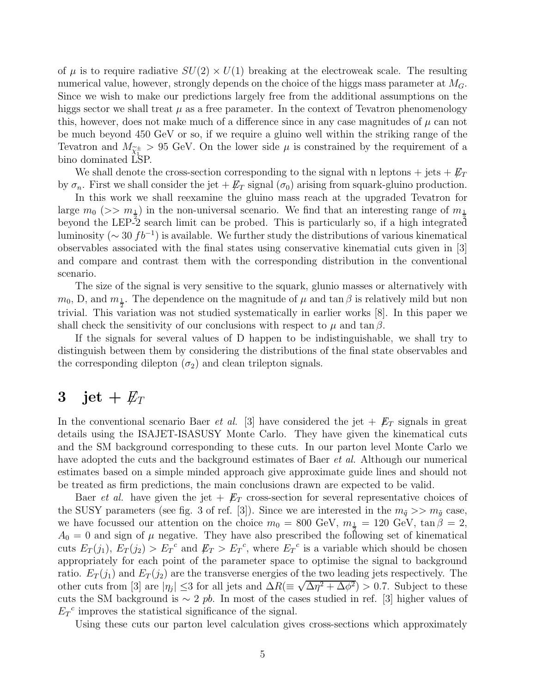of  $\mu$  is to require radiative  $SU(2) \times U(1)$  breaking at the electroweak scale. The resulting numerical value, however, strongly depends on the choice of the higgs mass parameter at  $M_G$ . Since we wish to make our predictions largely free from the additional assumptions on the higgs sector we shall treat  $\mu$  as a free parameter. In the context of Tevatron phenomenology this, however, does not make much of a difference since in any case magnitudes of  $\mu$  can not be much beyond 450 GeV or so, if we require a gluino well within the striking range of the Tevatron and  $M_{\tilde{\chi}^{\pm}_1} > 95$  GeV. On the lower side  $\mu$  is constrained by the requirement of a bino dominated LSP.

We shall denote the cross-section corresponding to the signal with n leptons + jets +  $\not\hspace{-.15cm}/F_T$ by  $\sigma_n$ . First we shall consider the jet  $+ \not{E}_T$  signal  $(\sigma_0)$  arising from squark-gluino production.

In this work we shall reexamine the gluino mass reach at the upgraded Tevatron for large  $m_0$  ( $\gg m_1$ ) in the non-universal scenario. We find that an interesting range of  $m_1$ beyond the LEP-2 search limit can be probed. This is particularly so, if a high integrated luminosity ( $\sim 30 f b^{-1}$ ) is available. We further study the distributions of various kinematical observables associated with the final states using conservative kinematial cuts given in [3] and compare and contrast them with the corresponding distribution in the conventional scenario.

The size of the signal is very sensitive to the squark, glunio masses or alternatively with  $m_0$ , D, and  $m_{\frac{1}{2}}$ . The dependence on the magnitude of  $\mu$  and  $\tan \beta$  is relatively mild but non trivial. This variation was not studied systematically in earlier works [8]. In this paper we shall check the sensitivity of our conclusions with respect to  $\mu$  and tan  $\beta$ .

If the signals for several values of D happen to be indistinguishable, we shall try to distinguish between them by considering the distributions of the final state observables and the corresponding dilepton  $(\sigma_2)$  and clean trilepton signals.

# 3 jet +  $\not{\!\! E_T}$

In the conventional scenario Baer *et al.* [3] have considered the jet  $+$   $\not\!\!E_T$  signals in great details using the ISAJET-ISASUSY Monte Carlo. They have given the kinematical cuts and the SM background corresponding to these cuts. In our parton level Monte Carlo we have adopted the cuts and the background estimates of Baer *et al.* Although our numerical estimates based on a simple minded approach give approximate guide lines and should not be treated as firm predictions, the main conclusions drawn are expected to be valid.

Baer *et al.* have given the jet  $+$   $\not\!\!E_T$  cross-section for several representative choices of the SUSY parameters (see fig. 3 of ref. [3]). Since we are interested in the  $m_{\tilde{q}} >> m_{\tilde{q}}$  case, we have focussed our attention on the choice  $m_0 = 800$  GeV,  $m_{\frac{1}{2}} = 120$  GeV,  $\tan \beta = 2$ ,  $A_0 = 0$  and sign of  $\mu$  negative. They have also prescribed the following set of kinematical cuts  $E_T(j_1)$ ,  $E_T(j_2) > E_T^c$  and  $E_T > E_T^c$ , where  $E_T^c$  is a variable which should be chosen appropriately for each point of the parameter space to optimise the signal to background ratio.  $E_T(j_1)$  and  $E_T(j_2)$  are the transverse energies of the two leading jets respectively. The other cuts from [3] are  $|\eta_j| \leq 3$  for all jets and  $\Delta R (\equiv \sqrt{\Delta \eta^2 + \Delta \phi^2}) > 0.7$ . Subject to these cuts the SM background is  $\sim 2$  pb. In most of the cases studied in ref. [3] higher values of  $E_T^c$  improves the statistical significance of the signal.

Using these cuts our parton level calculation gives cross-sections which approximately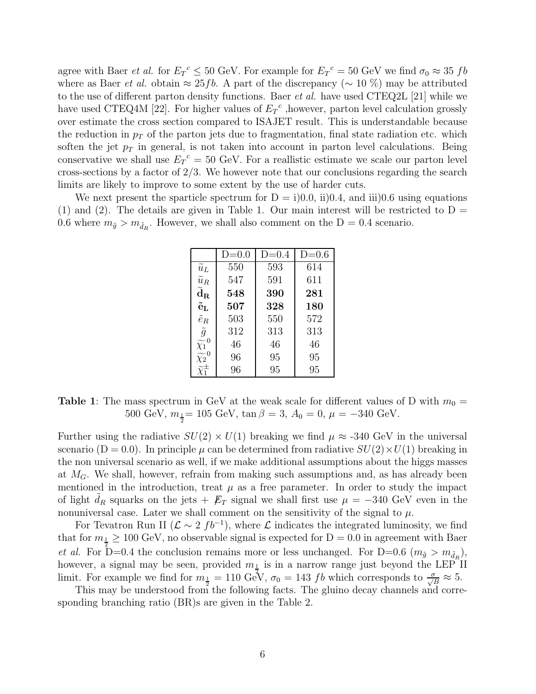agree with Baer *et al.* for  $E_T{}^c \leq 50$  GeV. For example for  $E_T{}^c = 50$  GeV we find  $\sigma_0 \approx 35$  fb where as Baer *et al.* obtain  $\approx 25$  fb. A part of the discrepancy ( $\sim 10\%$ ) may be attributed to the use of different parton density functions. Baer et al. have used CTEQ2L [21] while we have used CTEQ4M [22]. For higher values of  $E_T{}^c$ , however, parton level calculation grossly over estimate the cross section compared to ISAJET result. This is understandable because the reduction in  $p_T$  of the parton jets due to fragmentation, final state radiation etc. which soften the jet  $p<sub>T</sub>$  in general, is not taken into account in parton level calculations. Being conservative we shall use  $E_T{}^c = 50$  GeV. For a reallistic estimate we scale our parton level cross-sections by a factor of  $2/3$ . We however note that our conclusions regarding the search limits are likely to improve to some extent by the use of harder cuts.

We next present the sparticle spectrum for  $D = i(0.0, i(0.4, \text{and } ii(0.6, \text{using equations})))$ (1) and (2). The details are given in Table 1. Our main interest will be restricted to  $D =$ 0.6 where  $m_{\tilde{g}} > m_{\tilde{d}_R}$ . However, we shall also comment on the D = 0.4 scenario.

|                                       | $D=0.0$ | $D=0.4$ | $D=0.6$ |
|---------------------------------------|---------|---------|---------|
| $\overline{\widetilde{u}_L}$          | 550     | 593     | 614     |
| $\widetilde{u}_R$                     | 547     | 591     | 611     |
| $\widetilde{\mathbf{d}}_{\mathbf{R}}$ | 548     | 390     | 281     |
| $\mathbf{\tilde{e}}_{\mathbf{L}}$     | 507     | 328     | 180     |
| $\tilde{e}_R$                         | 503     | 550     | 572     |
| $\tilde{g}$                           | 312     | 313     | 313     |
| $\widetilde{\chi_1}^0$                | 46      | 46      | 46      |
| $\widetilde{\chi_2}^0$                | 96      | 95      | 95      |
| $\widetilde{\chi}^{\pm}_1$            | 96      | 95      | 95      |

**Table 1**: The mass spectrum in GeV at the weak scale for different values of D with  $m_0 =$ 500 GeV,  $m_{\frac{1}{2}}$  = 105 GeV,  $\tan \beta = 3$ ,  $A_0 = 0$ ,  $\mu = -340$  GeV.

Further using the radiative  $SU(2) \times U(1)$  breaking we find  $\mu \approx -340$  GeV in the universal scenario (D = 0.0). In principle  $\mu$  can be determined from radiative  $SU(2) \times U(1)$  breaking in the non universal scenario as well, if we make additional assumptions about the higgs masses at  $M_G$ . We shall, however, refrain from making such assumptions and, as has already been mentioned in the introduction, treat  $\mu$  as a free parameter. In order to study the impact of light  $d_R$  squarks on the jets +  $\not\!\!E_T$  signal we shall first use  $\mu = -340$  GeV even in the nonuniversal case. Later we shall comment on the sensitivity of the signal to  $\mu$ .

For Tevatron Run II ( $\mathcal{L} \sim 2 f b^{-1}$ ), where  $\mathcal{L}$  indicates the integrated luminosity, we find that for  $m_{\frac{1}{2}} \geq 100$  GeV, no observable signal is expected for  $D = 0.0$  in agreement with Baer *et al.* For D=0.4 the conclusion remains more or less unchanged. For D=0.6 ( $m_{\tilde{g}} > m_{\tilde{d}_R}$ ), however, a signal may be seen, provided  $m_{\frac{1}{2}}$  is in a narrow range just beyond the LEP II limit. For example we find for  $m_{\frac{1}{2}} = 110 \text{ GeV}$ ,  $\sigma_0 = 143 \text{ fb}$  which corresponds to  $\frac{\sigma}{\sqrt{B}} \approx 5$ .

This may be understood from the following facts. The gluino decay channels and corresponding branching ratio (BR)s are given in the Table 2.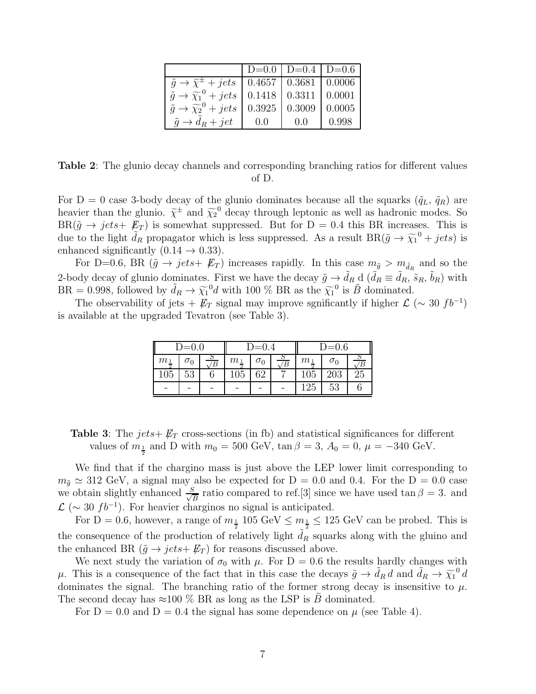|                                                                              |                                 | $D=0.0$   $D=0.4$   $D=0.6$ |        |
|------------------------------------------------------------------------------|---------------------------------|-----------------------------|--------|
| $\tilde{q} \rightarrow \tilde{\chi}^{\pm} + jets$   0.4657   0.3681   0.0006 |                                 |                             |        |
| $\tilde{q} \rightarrow \tilde{\chi}_1^0 + jets$                              | $\mid$ 0.1418   0.3311   0.0001 |                             |        |
| $\tilde{q} \rightarrow \widetilde{\chi}_2^0 + jets$                          | 0.3925                          | 0.3009                      | 0.0005 |
| $\tilde{q} \rightarrow d_R + jet$                                            | (0.0)                           | 0.0                         | 0.998  |

Table 2: The glunio decay channels and corresponding branching ratios for different values of D.

For D = 0 case 3-body decay of the glunio dominates because all the squarks  $(\tilde{q}_L, \tilde{q}_R)$  are heavier than the glunio.  $\tilde{\chi}^{\pm}$  and  $\tilde{\chi}_2^0$  decay through leptonic as well as hadronic modes. So  $BR(\tilde{g} \to jets+E_T)$  is somewhat suppressed. But for  $D = 0.4$  this BR increases. This is due to the light  $\tilde{d}_R$  propagator which is less suppressed. As a result  $BR(\tilde{g} \to \tilde{\chi}_1^0 + jets)$  is enhanced significantly  $(0.14 \rightarrow 0.33)$ .

For D=0.6, BR  $(\tilde{g} \to jets + \not{E}_T)$  increases rapidly. In this case  $m_{\tilde{g}} > m_{\tilde{d}_R}$  and so the 2-body decay of glunio dominates. First we have the decay  $\tilde{g} \to \tilde{d}_R$  d  $(\tilde{d}_R \equiv \tilde{d}_R, \tilde{s}_R, \tilde{b}_R)$  with  $BR = 0.998$ , followed by  $\tilde{d}_R \to \tilde{\chi}_1^0 d$  with 100 % BR as the  $\tilde{\chi}_1^0$  is  $\tilde{B}$  dominated.

The observability of jets +  $\not{E}_T$  signal may improve sgnificantly if higher  $\mathcal{L}$  (~ 30 fb<sup>-1</sup>) is available at the upgraded Tevatron (see Table 3).

| $D=0.0$        |            | $D=0.4$        |       | $D=0.6$    |                |                |            |    |
|----------------|------------|----------------|-------|------------|----------------|----------------|------------|----|
| m <sub>1</sub> | $\sigma_0$ | $\overline{B}$ | $m_1$ | $\sigma_0$ | $\overline{B}$ | m <sub>1</sub> | $\sigma_0$ |    |
| 105            | 53         |                | 105   | 62         |                | 105            | 203        | 25 |
|                |            |                |       |            |                | 125            | 53         |    |

**Table 3:** The jets +  $\not\!\!E_T$  cross-sections (in fb) and statistical significances for different values of  $m_{\frac{1}{2}}$  and D with  $m_0 = 500$  GeV,  $\tan \beta = 3$ ,  $A_0 = 0$ ,  $\mu = -340$  GeV.

We find that if the chargino mass is just above the LEP lower limit corresponding to  $m_{\tilde{g}} \simeq 312 \text{ GeV}$ , a signal may also be expected for  $D = 0.0$  and 0.4. For the  $D = 0.0$  case we obtain slightly enhanced  $\frac{S}{\sqrt{S}}$  $\frac{B}{B}$  ratio compared to ref.[3] since we have used tan  $\beta = 3$ . and  $\mathcal{L}$  ( $\sim$  30  $fb^{-1}$ ). For heavier charginos no signal is anticipated.

For  $D = 0.6$ , however, a range of  $m_{\frac{1}{2}}$  105 GeV  $\leq m_{\frac{1}{2}} \leq 125$  GeV can be probed. This is the consequence of the production of relatively light  $d_R$  squarks along with the gluino and the enhanced BR  $(\tilde{g} \rightarrow jets + \not{E}_T)$  for reasons discussed above.

We next study the variation of  $\sigma_0$  with  $\mu$ . For D = 0.6 the results hardly changes with  $\mu$ . This is a consequence of the fact that in this case the decays  $\tilde{g} \to \tilde{d}_R d$  and  $\tilde{d}_R \to \tilde{\chi}_1^0 d$ dominates the signal. The branching ratio of the former strong decay is insensitive to  $\mu$ . The second decay has  $\approx$ 100 % BR as long as the LSP is B dominated.

For  $D = 0.0$  and  $D = 0.4$  the signal has some dependence on  $\mu$  (see Table 4).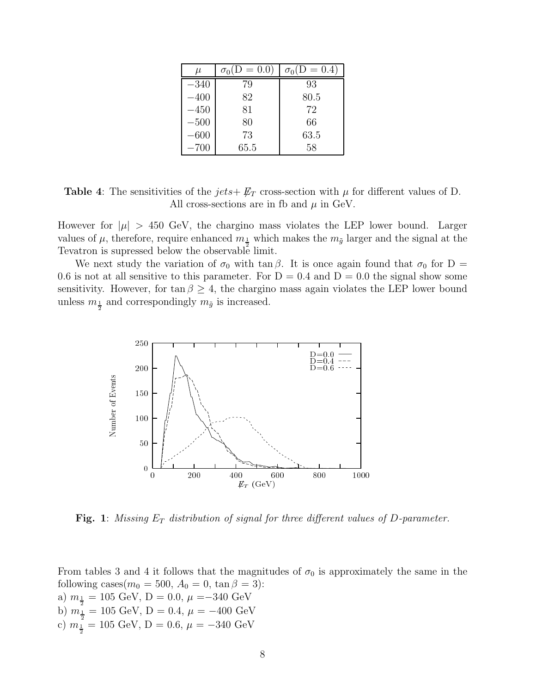| $\mu$  | $\sigma_0(D=0.0)$ | $\sigma_0(D=0.4)$ |
|--------|-------------------|-------------------|
| $-340$ | 79                | 93                |
| $-400$ | 82                | 80.5              |
| $-450$ | 81                | 72                |
| $-500$ | 80                | 66                |
| $-600$ | 73                | 63.5              |
| $-700$ | 65.5              | 58                |

**Table 4**: The sensitivities of the  $jets + \not{E_T}$  cross-section with  $\mu$  for different values of D. All cross-sections are in fb and  $\mu$  in GeV.

However for  $|\mu| > 450$  GeV, the chargino mass violates the LEP lower bound. Larger values of  $\mu$ , therefore, require enhanced  $m_{\frac{1}{2}}$  which makes the  $m_{\tilde{g}}$  larger and the signal at the Tevatron is supressed below the observable limit.

We next study the variation of  $\sigma_0$  with tan  $\beta$ . It is once again found that  $\sigma_0$  for D = 0.6 is not at all sensitive to this parameter. For  $D = 0.4$  and  $D = 0.0$  the signal show some sensitivity. However, for tan  $\beta \geq 4$ , the chargino mass again violates the LEP lower bound unless  $m_{\frac{1}{2}}$  and correspondingly  $m_{\tilde{g}}$  is increased.



**Fig. 1:** Missing  $E_T$  distribution of signal for three different values of D-parameter.

From tables 3 and 4 it follows that the magnitudes of  $\sigma_0$  is approximately the same in the following cases $(m_0 = 500, A_0 = 0, \tan \beta = 3)$ : a)  $m_{\frac{1}{2}} = 105 \text{ GeV}, D = 0.0, \mu = -340 \text{ GeV}$ b)  $m_{\frac{1}{2}} = 105 \text{ GeV}, D = 0.4, \mu = -400 \text{ GeV}$ c)  $m_{\frac{1}{2}} = 105 \text{ GeV}, D = 0.6, \mu = -340 \text{ GeV}$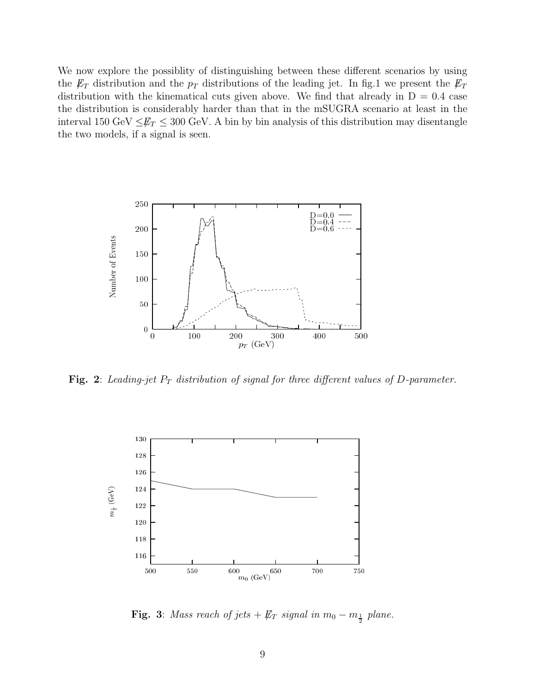We now explore the possiblity of distinguishing between these different scenarios by using the  $\not{E}_T$  distribution and the  $p_T$  distributions of the leading jet. In fig.1 we present the  $\not{E}_T$ distribution with the kinematical cuts given above. We find that already in  $D = 0.4$  case the distribution is considerably harder than that in the mSUGRA scenario at least in the interval 150 GeV  $\leq \not{E}_T \leq 300$  GeV. A bin by bin analysis of this distribution may disentangle the two models, if a signal is seen.



Fig. 2: Leading-jet  $P_T$  distribution of signal for three different values of D-parameter.



**Fig. 3**: Mass reach of jets  $\#_T$  signal in  $m_0 - m_{\frac{1}{2}}$  plane.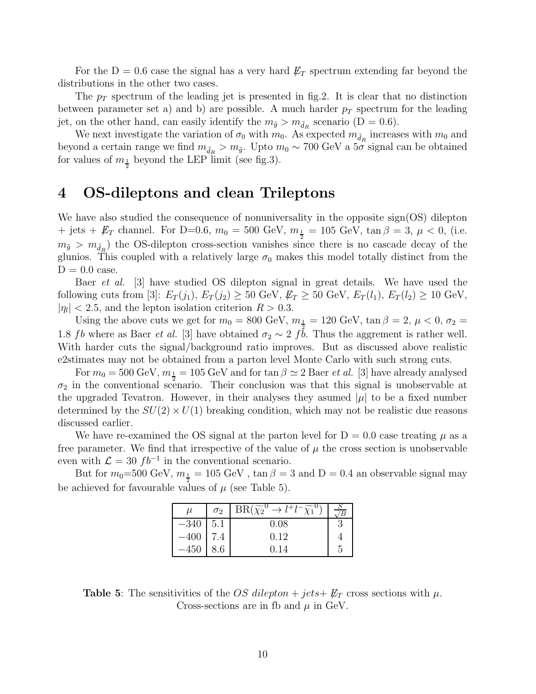For the  $D = 0.6$  case the signal has a very hard  $\not{E}_T$  spectrum extending far beyond the distributions in the other two cases.

The  $p_T$  spectrum of the leading jet is presented in fig. 2. It is clear that no distinction between parameter set a) and b) are possible. A much harder  $p_T$  spectrum for the leading jet, on the other hand, can easily identify the  $m_{\tilde{g}} > m_{\tilde{d}_R}$  scenario (D = 0.6).

We next investigate the variation of  $\sigma_0$  with  $m_0$ . As expected  $m_{\tilde{d}_R}$  increases with  $m_0$  and beyond a certain range we find  $m_{\tilde{d}_R} > m_{\tilde{g}}$ . Upto  $m_0 \sim 700 \text{ GeV}$  a  $5\sigma$  signal can be obtained for values of  $m_{\frac{1}{2}}$  beyond the LEP limit (see fig.3).

## 4 OS-dileptons and clean Trileptons

We have also studied the consequence of nonuniversality in the opposite sign(OS) dilepton + jets +  $\not\!\!E_T$  channel. For D=0.6,  $m_0 = 500 \text{ GeV}, m_{\frac{1}{2}} = 105 \text{ GeV}, \tan \beta = 3, \mu < 0$ , (i.e.  $m_{\tilde{g}} > m_{\tilde{d}_R}$  the OS-dilepton cross-section vanishes since there is no cascade decay of the glunios. This coupled with a relatively large  $\sigma_0$  makes this model totally distinct from the  $D = 0.0$  case.

Baer et al. [3] have studied OS dilepton signal in great details. We have used the following cuts from [3]:  $E_T(j_1), E_T(j_2) \ge 50 \text{ GeV}, E_T \ge 50 \text{ GeV}, E_T(l_1), E_T(l_2) \ge 10 \text{ GeV},$  $|\eta_l|$  < 2.5, and the lepton isolation criterion  $R > 0.3$ .

Using the above cuts we get for  $m_0 = 800$  GeV,  $m_{\frac{1}{2}} = 120$  GeV,  $\tan \beta = 2$ ,  $\mu < 0$ ,  $\sigma_2 =$ 1.8 fb where as Baer *et al.* [3] have obtained  $\sigma_2 \sim 2$  fb. Thus the aggrement is rather well. With harder cuts the signal/background ratio improves. But as discussed above realistic e2stimates may not be obtained from a parton level Monte Carlo with such strong cuts.

For  $m_0 = 500 \text{ GeV}, m_{\frac{1}{2}} = 105 \text{ GeV}$  and for  $\tan \beta \simeq 2$  Baer *et al.* [3] have already analysed  $\sigma_2$  in the conventional scenario. Their conclusion was that this signal is unobservable at the upgraded Tevatron. However, in their analyses they asumed  $|\mu|$  to be a fixed number determined by the  $SU(2) \times U(1)$  breaking condition, which may not be realistic due reasons discussed earlier.

We have re-examined the OS signal at the parton level for  $D = 0.0$  case treating  $\mu$  as a free parameter. We find that irrespective of the value of  $\mu$  the cross section is unobservable even with  $\mathcal{L} = 30 f b^{-1}$  in the conventional scenario.

But for  $m_0$ =500 GeV,  $m_{\frac{1}{2}} = 105$  GeV ,  $\tan \beta = 3$  and  $D = 0.4$  an observable signal may be achieved for favourable values of  $\mu$  (see Table 5).

| и      | $\sigma_2$ | $BR(\widetilde{\chi_2}^0 \rightarrow l^+l^-\widetilde{\chi_1})$ |  |
|--------|------------|-----------------------------------------------------------------|--|
| $-340$ | 5.1        | 0.08                                                            |  |
| $-400$ | 7.4        | 0.12                                                            |  |
|        | .6         | 0.14                                                            |  |

**Table 5:** The sensitivities of the OS dilepton + jets +  $\not{E}_T$  cross sections with  $\mu$ . Cross-sections are in fb and  $\mu$  in GeV.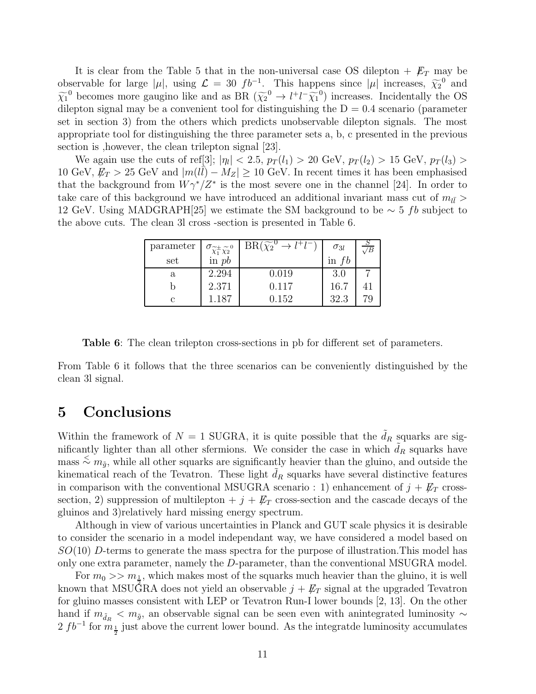It is clear from the Table 5 that in the non-universal case OS dilepton  $+$   $\cancel{E}_T$  may be observable for large  $|\mu|$ , using  $\mathcal{L} = 30 f b^{-1}$ . This happens since  $|\mu|$  increases,  $\widetilde{\chi}_2^0$  and  $\widetilde{\chi}_1^0$  becomes more gaugino like and as BR  $(\widetilde{\chi}_2^0 \to l^+l^-\widetilde{\chi}_1^0)$  increases. Incidentally the OS dilepton signal may be a convenient tool for distinguishing the  $D = 0.4$  scenario (parameter set in section 3) from the others which predicts unobservable dilepton signals. The most appropriate tool for distinguishing the three parameter sets a, b, c presented in the previous section is ,however, the clean trilepton signal [23].

We again use the cuts of ref[3];  $|\eta_l| < 2.5$ ,  $p_T(l_1) > 20$  GeV,  $p_T(l_2) > 15$  GeV,  $p_T(l_3) >$ 10 GeV,  $E_T > 25$  GeV and  $|m(l\bar{l}) - M_Z| \ge 10$  GeV. In recent times it has been emphasised that the background from  $W\gamma^*/Z^*$  is the most severe one in the channel [24]. In order to take care of this background we have introduced an additional invariant mass cut of  $m_{l\bar{l}} >$ 12 GeV. Using MADGRAPH[25] we estimate the SM background to be  $\sim 5$  fb subject to the above cuts. The clean 3l cross -section is presented in Table 6.

| parameter | $\sigma_{\widetilde{\chi}_1^{\pm}\widetilde{\chi}_2^{0}}$ | $BR(\widetilde{\chi_2}^0 \rightarrow l^+l^-$ | $\sigma_{3l}$ | $\overline{B}$ |
|-----------|-----------------------------------------------------------|----------------------------------------------|---------------|----------------|
| set       | in $pb$                                                   |                                              | in $fb$       |                |
| a         | 2.294                                                     | 0.019                                        | 3.0           |                |
|           | 2.371                                                     | 0.117                                        | 16.7          |                |
|           | 1.187                                                     | 0.152                                        | 32.3          | 70             |

Table 6: The clean trilepton cross-sections in pb for different set of parameters.

From Table 6 it follows that the three scenarios can be conveniently distinguished by the clean 3l signal.

#### 5 Conclusions

Within the framework of  $N = 1$  SUGRA, it is quite possible that the  $\tilde{d}_R$  squarks are significantly lighter than all other sfermions. We consider the case in which  $\tilde{d}_R$  squarks have  $\{m\}$  mass  $\leq m_{\tilde{g}}$ , while all other squarks are significantly heavier than the gluino, and outside the kinematical reach of the Tevatron. These light  $d_R$  squarks have several distinctive features in comparison with the conventional MSUGRA scenario : 1) enhancement of  $j + \not{E}_T$  crosssection, 2) suppression of multilepton  $+ j + \not{E}_T$  cross-section and the cascade decays of the gluinos and 3)relatively hard missing energy spectrum.

Although in view of various uncertainties in Planck and GUT scale physics it is desirable to consider the scenario in a model independant way, we have considered a model based on  $SO(10)$  D-terms to generate the mass spectra for the purpose of illustration. This model has only one extra parameter, namely the D-parameter, than the conventional MSUGRA model.

For  $m_0 >> m_{\frac{1}{2}}$ , which makes most of the squarks much heavier than the gluino, it is well known that MSUGRA does not yield an observable  $j + E_T$  signal at the upgraded Tevatron for gluino masses consistent with LEP or Tevatron Run-I lower bounds [2, 13]. On the other hand if  $m_{\tilde{d}_R} < m_{\tilde{g}}$ , an observable signal can be seen even with anintegrated luminosity ∼  $2 f b^{-1}$  for  $m_{\frac{1}{2}}$  just above the current lower bound. As the integrate luminosity accumulates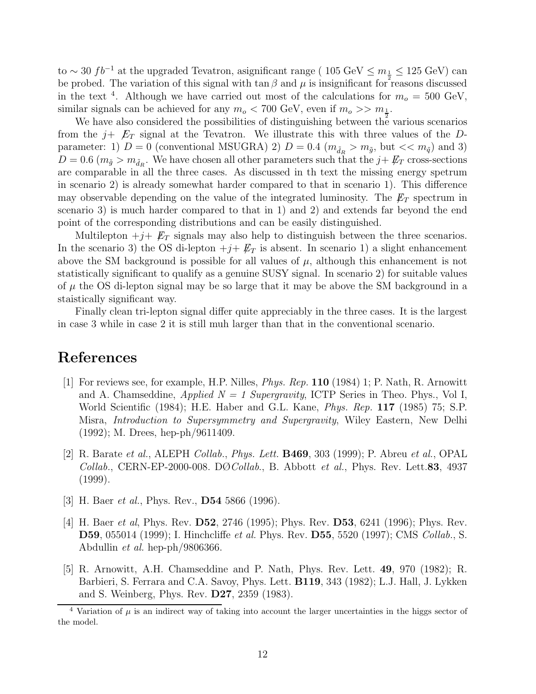to ~ 30  $fb^{-1}$  at the upgraded Tevatron, asignificant range ( 105 GeV  $\leq m_{\frac{1}{2}} \leq 125$  GeV) can be probed. The variation of this signal with  $\tan \beta$  and  $\mu$  is insignificant for reasons discussed in the text<sup>4</sup>. Although we have carried out most of the calculations for  $m_o = 500 \text{ GeV}$ , similar signals can be achieved for any  $m_o < 700$  GeV, even if  $m_o \gg m_{\frac{1}{2}}$ .

We have also considered the possibilities of distinguishing between the various scenarios from the  $j+$   $E_T$  signal at the Tevatron. We illustrate this with three values of the Dparameter: 1)  $D = 0$  (conventional MSUGRA) 2)  $D = 0.4$  ( $m_{\tilde{d}_R} > m_{\tilde{g}}$ , but  $<< m_{\tilde{q}}$ ) and 3)  $D = 0.6$  ( $m_{\tilde{g}} > m_{\tilde{d}_R}$ . We have chosen all other parameters such that the  $j + \not{E}_T$  cross-sections are comparable in all the three cases. As discussed in th text the missing energy spetrum in scenario 2) is already somewhat harder compared to that in scenario 1). This difference may observable depending on the value of the integrated luminosity. The  $E_T$  spectrum in scenario 3) is much harder compared to that in 1) and 2) and extends far beyond the end point of the corresponding distributions and can be easily distinguished.

Multilepton  $+j+\not{E}_T$  signals may also help to distinguish between the three scenarios. In the scenario 3) the OS di-lepton  $+j+\not{E_T}$  is absent. In scenario 1) a slight enhancement above the SM background is possible for all values of  $\mu$ , although this enhancement is not statistically significant to qualify as a genuine SUSY signal. In scenario 2) for suitable values of  $\mu$  the OS di-lepton signal may be so large that it may be above the SM background in a staistically significant way.

Finally clean tri-lepton signal differ quite appreciably in the three cases. It is the largest in case 3 while in case 2 it is still muh larger than that in the conventional scenario.

# References

- [1] For reviews see, for example, H.P. Nilles, Phys. Rep. 110 (1984) 1; P. Nath, R. Arnowitt and A. Chamseddine, *Applied*  $N = 1$  Supergravity, ICTP Series in Theo. Phys., Vol I, World Scientific (1984); H.E. Haber and G.L. Kane, Phys. Rep. 117 (1985) 75; S.P. Misra, Introduction to Supersymmetry and Supergravity, Wiley Eastern, New Delhi (1992); M. Drees, hep-ph/9611409.
- [2] R. Barate et al., ALEPH Collab., Phys. Lett. B469, 303 (1999); P. Abreu et al., OPAL Collab., CERN-EP-2000-008. D $\emptyset$ Collab., B. Abbott et al., Phys. Rev. Lett.83, 4937 (1999).
- [3] H. Baer *et al.*, Phys. Rev., **D54** 5866 (1996).
- [4] H. Baer *et al*, Phys. Rev. **D52**, 2746 (1995); Phys. Rev. **D53**, 6241 (1996); Phys. Rev. **D59**, 055014 (1999); I. Hinchcliffe *et al.* Phys. Rev. **D55**, 5520 (1997); CMS Collab., S. Abdullin et al. hep-ph/9806366.
- [5] R. Arnowitt, A.H. Chamseddine and P. Nath, Phys. Rev. Lett. 49, 970 (1982); R. Barbieri, S. Ferrara and C.A. Savoy, Phys. Lett. **B119**, 343 (1982); L.J. Hall, J. Lykken and S. Weinberg, Phys. Rev. D27, 2359 (1983).

 $4$  Variation of  $\mu$  is an indirect way of taking into account the larger uncertainties in the higgs sector of the model.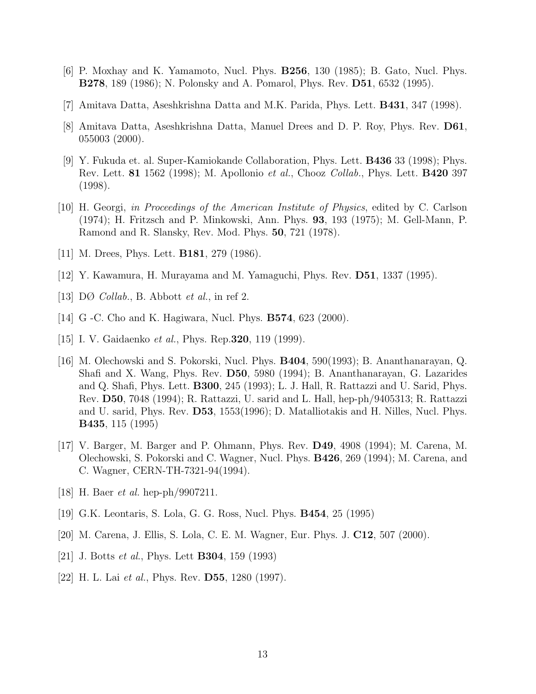- [6] P. Moxhay and K. Yamamoto, Nucl. Phys. B256, 130 (1985); B. Gato, Nucl. Phys. B278, 189 (1986); N. Polonsky and A. Pomarol, Phys. Rev. D51, 6532 (1995).
- [7] Amitava Datta, Aseshkrishna Datta and M.K. Parida, Phys. Lett. B431, 347 (1998).
- [8] Amitava Datta, Aseshkrishna Datta, Manuel Drees and D. P. Roy, Phys. Rev. D61, 055003 (2000).
- [9] Y. Fukuda et. al. Super-Kamiokande Collaboration, Phys. Lett. B436 33 (1998); Phys. Rev. Lett. **81** 1562 (1998); M. Apollonio *et al.*, Chooz *Collab.*, Phys. Lett. **B420** 397 (1998).
- [10] H. Georgi, in Proceedings of the American Institute of Physics, edited by C. Carlson (1974); H. Fritzsch and P. Minkowski, Ann. Phys. 93, 193 (1975); M. Gell-Mann, P. Ramond and R. Slansky, Rev. Mod. Phys. 50, 721 (1978).
- [11] M. Drees, Phys. Lett. **B181**, 279 (1986).
- [12] Y. Kawamura, H. Murayama and M. Yamaguchi, Phys. Rev. D51, 1337 (1995).
- [13] DØ Collab., B. Abbott et al., in ref 2.
- [14] G -C. Cho and K. Hagiwara, Nucl. Phys. **B574**, 623 (2000).
- [15] I. V. Gaidaenko et al., Phys. Rep.320, 119 (1999).
- [16] M. Olechowski and S. Pokorski, Nucl. Phys. B404, 590(1993); B. Ananthanarayan, Q. Shafi and X. Wang, Phys. Rev. D50, 5980 (1994); B. Ananthanarayan, G. Lazarides and Q. Shafi, Phys. Lett. B300, 245 (1993); L. J. Hall, R. Rattazzi and U. Sarid, Phys. Rev. D50, 7048 (1994); R. Rattazzi, U. sarid and L. Hall, hep-ph/9405313; R. Rattazzi and U. sarid, Phys. Rev. D53, 1553(1996); D. Matalliotakis and H. Nilles, Nucl. Phys. B435, 115 (1995)
- [17] V. Barger, M. Barger and P. Ohmann, Phys. Rev. D49, 4908 (1994); M. Carena, M. Olechowski, S. Pokorski and C. Wagner, Nucl. Phys. B426, 269 (1994); M. Carena, and C. Wagner, CERN-TH-7321-94(1994).
- [18] H. Baer *et al.* hep-ph/9907211.
- [19] G.K. Leontaris, S. Lola, G. G. Ross, Nucl. Phys. B454, 25 (1995)
- [20] M. Carena, J. Ellis, S. Lola, C. E. M. Wagner, Eur. Phys. J. C12, 507 (2000).
- [21] J. Botts et al., Phys. Lett B304, 159 (1993)
- [22] H. L. Lai *et al.*, Phys. Rev. **D55**, 1280 (1997).